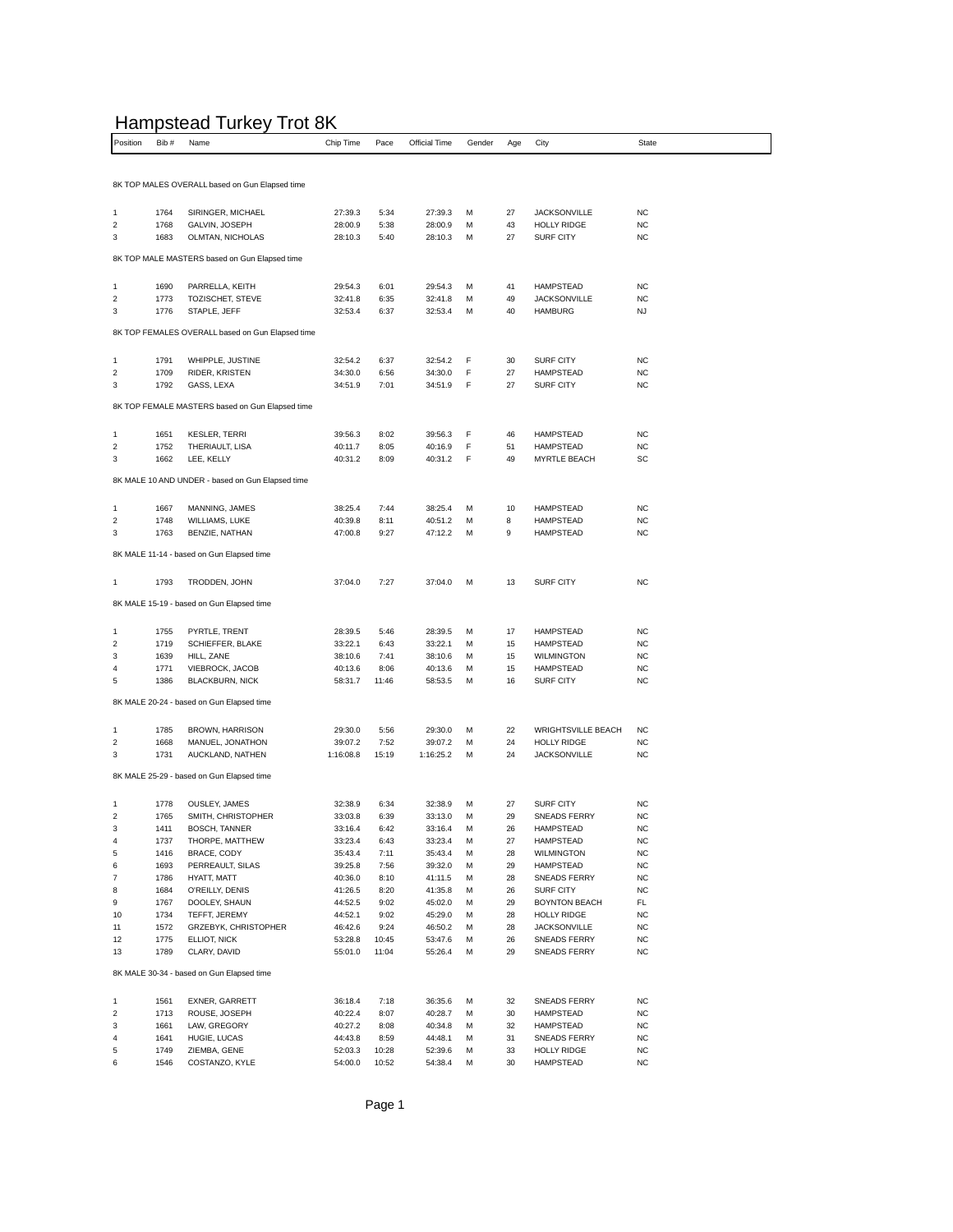## Hampstead Turkey Trot 8K

|                                                  |              | .<br>. .                                         |                    |              |                    |        |          |                                  |                        |  |  |
|--------------------------------------------------|--------------|--------------------------------------------------|--------------------|--------------|--------------------|--------|----------|----------------------------------|------------------------|--|--|
| Position                                         | Bib#         | Name                                             | Chip Time          | Pace         | Official Time      | Gender | Age      | City                             | <b>State</b>           |  |  |
|                                                  |              |                                                  |                    |              |                    |        |          |                                  |                        |  |  |
|                                                  |              | 8K TOP MALES OVERALL based on Gun Elapsed time   |                    |              |                    |        |          |                                  |                        |  |  |
|                                                  |              |                                                  |                    |              |                    |        |          |                                  |                        |  |  |
|                                                  | 1764         |                                                  |                    |              |                    |        | 27       | <b>JACKSONVILLE</b>              | <b>NC</b>              |  |  |
| 1<br>2                                           | 1768         | SIRINGER, MICHAEL<br>GALVIN, JOSEPH              | 27:39.3<br>28:00.9 | 5:34<br>5:38 | 27:39.3<br>28:00.9 | M<br>М | 43       | <b>HOLLY RIDGE</b>               | <b>NC</b>              |  |  |
| 3                                                | 1683         | OLMTAN, NICHOLAS                                 | 28:10.3            | 5:40         | 28:10.3            | М      | 27       | <b>SURF CITY</b>                 | <b>NC</b>              |  |  |
|                                                  |              |                                                  |                    |              |                    |        |          |                                  |                        |  |  |
|                                                  |              | 8K TOP MALE MASTERS based on Gun Elapsed time    |                    |              |                    |        |          |                                  |                        |  |  |
|                                                  |              |                                                  |                    |              |                    |        |          |                                  |                        |  |  |
| 1                                                | 1690         | PARRELLA, KEITH                                  | 29:54.3            | 6:01         | 29:54.3            | M      | 41       | <b>HAMPSTEAD</b>                 | <b>NC</b>              |  |  |
| $\overline{\mathbf{c}}$                          | 1773         | TOZISCHET, STEVE                                 | 32:41.8            | 6:35         | 32:41.8            | м      | 49       | <b>JACKSONVILLE</b>              | <b>NC</b>              |  |  |
| 3                                                | 1776         | STAPLE, JEFF                                     | 32:53.4            | 6:37         | 32:53.4            | м      | 40       | <b>HAMBURG</b>                   | NJ                     |  |  |
| 8K TOP FEMALES OVERALL based on Gun Elapsed time |              |                                                  |                    |              |                    |        |          |                                  |                        |  |  |
|                                                  |              |                                                  |                    |              |                    |        |          |                                  |                        |  |  |
| 1                                                | 1791         | WHIPPLE, JUSTINE                                 | 32:54.2            | 6:37         | 32:54.2            | F      | 30       | <b>SURF CITY</b>                 | <b>NC</b>              |  |  |
| $\boldsymbol{2}$                                 | 1709         | RIDER, KRISTEN                                   | 34:30.0            | 6:56         | 34:30.0            | F      | 27       | <b>HAMPSTEAD</b>                 | <b>NC</b>              |  |  |
| 3                                                | 1792         | GASS, LEXA                                       | 34:51.9            | 7:01         | 34:51.9            | F      | 27       | <b>SURF CITY</b>                 | NC                     |  |  |
|                                                  |              |                                                  |                    |              |                    |        |          |                                  |                        |  |  |
|                                                  |              | 8K TOP FEMALE MASTERS based on Gun Elapsed time  |                    |              |                    |        |          |                                  |                        |  |  |
|                                                  |              |                                                  |                    |              |                    |        |          |                                  |                        |  |  |
| 1                                                | 1651         | <b>KESLER, TERRI</b>                             | 39:56.3            | 8:02         | 39:56.3            | F      | 46       | <b>HAMPSTEAD</b>                 | NC                     |  |  |
| $\overline{\mathbf{c}}$                          | 1752         | THERIAULT, LISA                                  | 40:11.7            | 8:05         | 40:16.9            | F      | 51       | <b>HAMPSTEAD</b>                 | <b>NC</b>              |  |  |
| 3                                                | 1662         | LEE, KELLY                                       | 40:31.2            | 8:09         | 40:31.2            | F      | 49       | <b>MYRTLE BEACH</b>              | SC                     |  |  |
|                                                  |              | 8K MALE 10 AND UNDER - based on Gun Elapsed time |                    |              |                    |        |          |                                  |                        |  |  |
|                                                  |              |                                                  |                    |              |                    |        |          |                                  |                        |  |  |
| 1                                                | 1667         | MANNING, JAMES                                   | 38:25.4            | 7:44         | 38:25.4            | М      | 10       | <b>HAMPSTEAD</b>                 | <b>NC</b>              |  |  |
| $\overline{2}$                                   | 1748         | <b>WILLIAMS, LUKE</b>                            | 40:39.8            | 8:11         | 40:51.2            | м      | 8        | <b>HAMPSTEAD</b>                 | NC                     |  |  |
| 3                                                | 1763         | BENZIE, NATHAN                                   | 47:00.8            | 9:27         | 47:12.2            | M      | 9        | <b>HAMPSTEAD</b>                 | NC                     |  |  |
|                                                  |              |                                                  |                    |              |                    |        |          |                                  |                        |  |  |
|                                                  |              | 8K MALE 11-14 - based on Gun Elapsed time        |                    |              |                    |        |          |                                  |                        |  |  |
|                                                  |              |                                                  |                    |              |                    |        |          |                                  |                        |  |  |
| 1                                                | 1793         | TRODDEN, JOHN                                    | 37:04.0            | 7:27         | 37:04.0            | М      | 13       | <b>SURF CITY</b>                 | <b>NC</b>              |  |  |
|                                                  |              | 8K MALE 15-19 - based on Gun Elapsed time        |                    |              |                    |        |          |                                  |                        |  |  |
|                                                  |              |                                                  |                    |              |                    |        |          |                                  |                        |  |  |
| 1                                                | 1755         | PYRTLE, TRENT                                    | 28:39.5            | 5:46         | 28:39.5            | M      | 17       | <b>HAMPSTEAD</b>                 | <b>NC</b>              |  |  |
| $\overline{\mathbf{c}}$                          | 1719         | SCHIEFFER, BLAKE                                 | 33:22.1            | 6:43         | 33:22.1            | М      | 15       | <b>HAMPSTEAD</b>                 | <b>NC</b>              |  |  |
| 3                                                | 1639         | HILL, ZANE                                       | 38:10.6            | 7:41         | 38:10.6            | М      | 15       | <b>WILMINGTON</b>                | NC                     |  |  |
| 4                                                | 1771         | VIEBROCK, JACOB                                  | 40:13.6            | 8:06         | 40:13.6            | М      | 15       | <b>HAMPSTEAD</b>                 | NC                     |  |  |
| 5                                                | 1386         | <b>BLACKBURN, NICK</b>                           | 58:31.7            | 11:46        | 58:53.5            | М      | 16       | <b>SURF CITY</b>                 | <b>NC</b>              |  |  |
|                                                  |              | 8K MALE 20-24 - based on Gun Elapsed time        |                    |              |                    |        |          |                                  |                        |  |  |
|                                                  |              |                                                  |                    |              |                    |        |          |                                  |                        |  |  |
| 1                                                | 1785         | BROWN, HARRISON                                  | 29:30.0            | 5:56         | 29:30.0            | М      | 22       | <b>WRIGHTSVILLE BEACH</b>        | <b>NC</b>              |  |  |
| 2                                                | 1668         | MANUEL, JONATHON                                 | 39:07.2            | 7:52         | 39:07.2            | М      | 24       | <b>HOLLY RIDGE</b>               | NC                     |  |  |
| 3                                                | 1731         | AUCKLAND, NATHEN                                 | 1:16:08.8          | 15:19        | 1:16:25.2          | M      | 24       | <b>JACKSONVILLE</b>              | <b>NC</b>              |  |  |
|                                                  |              |                                                  |                    |              |                    |        |          |                                  |                        |  |  |
|                                                  |              | 8K MALE 25-29 - based on Gun Elapsed time        |                    |              |                    |        |          |                                  |                        |  |  |
|                                                  |              |                                                  |                    |              |                    |        |          |                                  |                        |  |  |
| 1                                                | 1778         | OUSLEY, JAMES                                    | 32:38.9            | 6:34         | 32:38.9            | M      | 27       | <b>SURF CITY</b>                 | NC                     |  |  |
| $\boldsymbol{2}$                                 | 1765         | SMITH, CHRISTOPHER                               | 33:03.8            | 6:39         | 33:13.0            | М      | 29       | <b>SNEADS FERRY</b>              | <b>NC</b>              |  |  |
| 3                                                | 1411         | BOSCH, TANNER                                    | 33:16.4            | 6:42         | 33:16.4            | M      | 26       | HAMPSTEAD                        | <b>NC</b>              |  |  |
| 4<br>5                                           | 1737<br>1416 | THORPE, MATTHEW<br>BRACE, CODY                   | 33:23.4<br>35:43.4 | 6:43<br>7:11 | 33:23.4<br>35:43.4 | М<br>М | 27<br>28 | HAMPSTEAD<br>WILMINGTON          | <b>NC</b><br>NC        |  |  |
| 6                                                | 1693         | PERREAULT, SILAS                                 | 39:25.8            | 7:56         | 39:32.0            | М      | 29       | <b>HAMPSTEAD</b>                 | <b>NC</b>              |  |  |
| $\overline{\mathfrak{c}}$                        | 1786         | HYATT, MATT                                      | 40:36.0            | 8:10         | 41:11.5            | М      | 28       | <b>SNEADS FERRY</b>              | <b>NC</b>              |  |  |
| 8                                                | 1684         | O'REILLY, DENIS                                  | 41:26.5            | 8:20         | 41:35.8            | М      | 26       | SURF CITY                        | NC                     |  |  |
| 9                                                | 1767         | DOOLEY, SHAUN                                    | 44:52.5            | 9:02         | 45:02.0            | М      | 29       | BOYNTON BEACH                    | FL.                    |  |  |
| 10                                               | 1734         | TEFFT, JEREMY                                    | 44:52.1            | 9:02         | 45:29.0            | М      | 28       | <b>HOLLY RIDGE</b>               | <b>NC</b>              |  |  |
| 11                                               | 1572         | GRZEBYK, CHRISTOPHER                             | 46:42.6            | 9:24         | 46:50.2            | М      | 28       | <b>JACKSONVILLE</b>              | <b>NC</b>              |  |  |
| 12                                               | 1775         | ELLIOT, NICK                                     | 53:28.8            | 10:45        | 53:47.6            | М      | 26       | SNEADS FERRY                     | <b>NC</b>              |  |  |
| 13                                               | 1789         | CLARY, DAVID                                     | 55:01.0            | 11:04        | 55:26.4            | М      | 29       | SNEADS FERRY                     | <b>NC</b>              |  |  |
|                                                  |              |                                                  |                    |              |                    |        |          |                                  |                        |  |  |
|                                                  |              | 8K MALE 30-34 - based on Gun Elapsed time        |                    |              |                    |        |          |                                  |                        |  |  |
|                                                  |              |                                                  |                    |              |                    |        |          |                                  |                        |  |  |
| 1<br>$\boldsymbol{2}$                            | 1561<br>1713 | EXNER, GARRETT<br>ROUSE, JOSEPH                  | 36:18.4<br>40:22.4 | 7:18<br>8:07 | 36:35.6<br>40:28.7 | М<br>М | 32<br>30 | SNEADS FERRY<br><b>HAMPSTEAD</b> | <b>NC</b><br><b>NC</b> |  |  |
| 3                                                | 1661         | LAW, GREGORY                                     | 40:27.2            | 8:08         | 40:34.8            | М      | 32       | HAMPSTEAD                        | <b>NC</b>              |  |  |
| 4                                                | 1641         | HUGIE, LUCAS                                     | 44:43.8            | 8:59         | 44:48.1            | М      | 31       | SNEADS FERRY                     | <b>NC</b>              |  |  |
| 5                                                | 1749         | ZIEMBA, GENE                                     | 52:03.3            | 10:28        | 52:39.6            | м      | 33       | <b>HOLLY RIDGE</b>               | <b>NC</b>              |  |  |
| 6                                                | 1546         | COSTANZO, KYLE                                   | 54:00.0            | 10:52        | 54:38.4            | М      | 30       | <b>HAMPSTEAD</b>                 | <b>NC</b>              |  |  |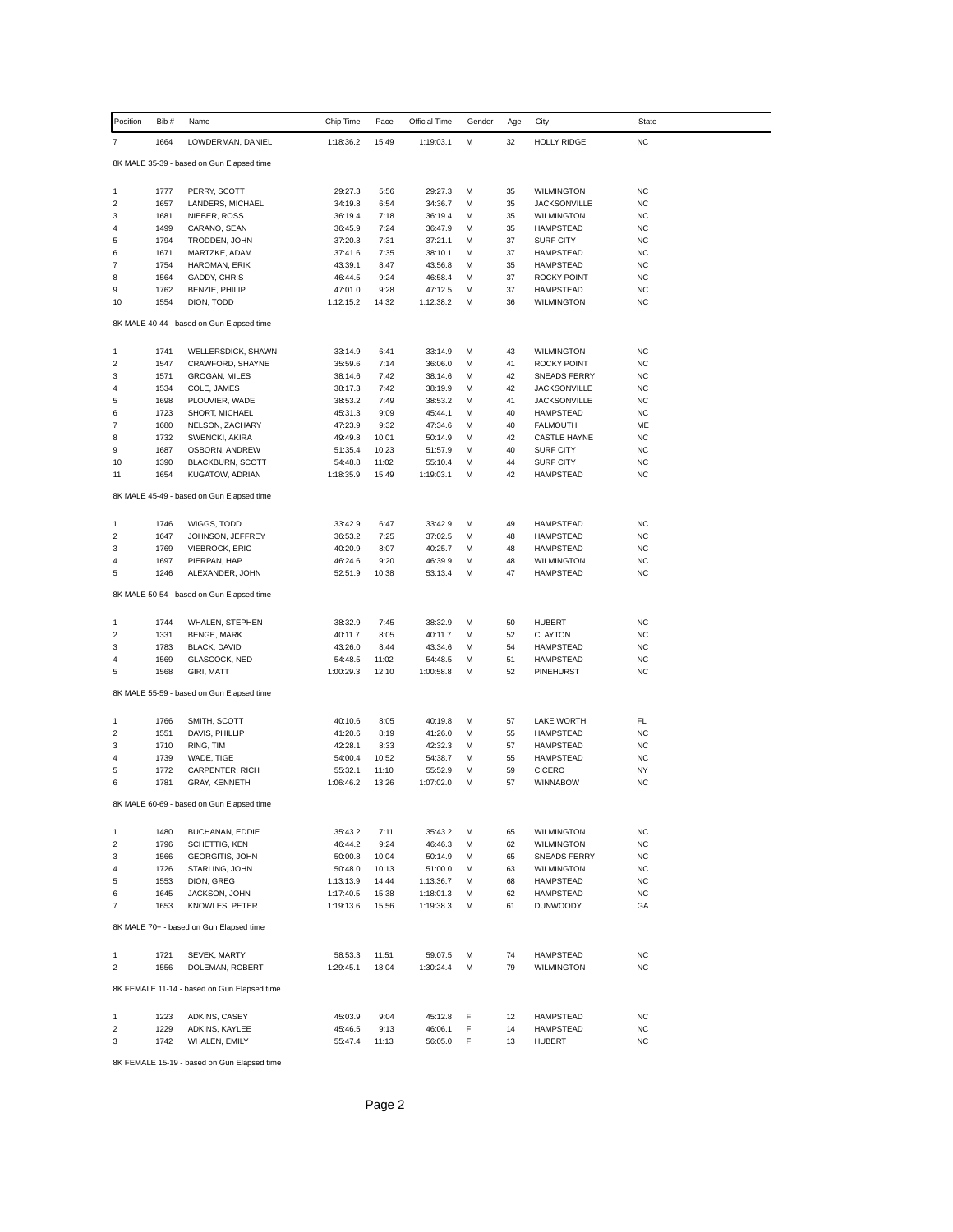| Position                                    | Bib #        | Name                                      | Chip Time          | Pace           | Official Time      | Gender | Age      | City                                    | State                  |  |
|---------------------------------------------|--------------|-------------------------------------------|--------------------|----------------|--------------------|--------|----------|-----------------------------------------|------------------------|--|
| $\overline{\mathfrak{c}}$                   | 1664         | LOWDERMAN, DANIEL                         | 1:18:36.2          | 15:49          | 1:19:03.1          | М      | 32       | <b>HOLLY RIDGE</b>                      | <b>NC</b>              |  |
|                                             |              | 8K MALE 35-39 - based on Gun Elapsed time |                    |                |                    |        |          |                                         |                        |  |
|                                             |              |                                           |                    |                |                    |        |          |                                         |                        |  |
| 1                                           | 1777         | PERRY, SCOTT                              | 29:27.3            | 5:56           | 29:27.3            | М      | 35       | WILMINGTON                              | NC                     |  |
| $\overline{\mathbf{c}}$                     | 1657         | LANDERS, MICHAEL                          | 34:19.8            | 6:54           | 34:36.7            | M      | 35       | <b>JACKSONVILLE</b>                     | <b>NC</b>              |  |
| 3                                           | 1681         | NIEBER, ROSS                              | 36:19.4            | 7:18           | 36:19.4            | M      | 35       | <b>WILMINGTON</b>                       | <b>NC</b>              |  |
| 4<br>5                                      | 1499         | CARANO, SEAN                              | 36:45.9            | 7:24           | 36:47.9            | М<br>M | 35<br>37 | <b>HAMPSTEAD</b>                        | <b>NC</b>              |  |
| 6                                           | 1794<br>1671 | TRODDEN, JOHN<br>MARTZKE, ADAM            | 37:20.3<br>37:41.6 | 7:31<br>7:35   | 37:21.1<br>38:10.1 | M      | 37       | <b>SURF CITY</b><br><b>HAMPSTEAD</b>    | NC<br><b>NC</b>        |  |
| $\overline{\mathfrak{c}}$                   | 1754         | HAROMAN, ERIK                             | 43:39.1            | 8:47           | 43:56.8            | М      | 35       | <b>HAMPSTEAD</b>                        | <b>NC</b>              |  |
| 8                                           | 1564         | GADDY, CHRIS                              | 46:44.5            | 9:24           | 46:58.4            | M      | 37       | ROCKY POINT                             | <b>NC</b>              |  |
| 9                                           | 1762         | BENZIE, PHILIP                            | 47:01.0            | 9:28           | 47:12.5            | M      | 37       | <b>HAMPSTEAD</b>                        | <b>NC</b>              |  |
| 10                                          | 1554         | DION, TODD                                | 1:12:15.2          | 14:32          | 1:12:38.2          | м      | 36       | <b>WILMINGTON</b>                       | <b>NC</b>              |  |
| 8K MALE 40-44 - based on Gun Elapsed time   |              |                                           |                    |                |                    |        |          |                                         |                        |  |
| 1                                           | 1741         | WELLERSDICK, SHAWN                        | 33:14.9            | 6:41           | 33:14.9            | М      | 43       | <b>WILMINGTON</b>                       | <b>NC</b>              |  |
| $\overline{\mathbf{c}}$                     | 1547         | CRAWFORD, SHAYNE                          | 35:59.6            | 7:14           | 36:06.0            | M      | 41       | ROCKY POINT                             | <b>NC</b>              |  |
| 3                                           | 1571         | GROGAN, MILES                             | 38:14.6            | 7:42           | 38:14.6            | М      | 42       | <b>SNEADS FERRY</b>                     | <b>NC</b>              |  |
| 4                                           | 1534         | COLE, JAMES                               | 38:17.3            | 7:42           | 38:19.9            | M      | 42       | <b>JACKSONVILLE</b>                     | <b>NC</b>              |  |
| 5                                           | 1698         | PLOUVIER, WADE                            | 38:53.2            | 7:49           | 38:53.2            | м      | 41       | <b>JACKSONVILLE</b>                     | <b>NC</b>              |  |
| 6                                           | 1723         | SHORT, MICHAEL                            | 45:31.3            | 9:09           | 45:44.1            | M      | 40       | <b>HAMPSTEAD</b>                        | <b>NC</b>              |  |
| $\overline{7}$                              | 1680         | NELSON, ZACHARY                           | 47:23.9            | 9:32           | 47:34.6            | M      | 40       | <b>FALMOUTH</b>                         | ME                     |  |
| 8<br>9                                      | 1732<br>1687 | SWENCKI, AKIRA                            | 49:49.8<br>51:35.4 | 10:01<br>10:23 | 50:14.9<br>51:57.9 | м      | 42<br>40 | <b>CASTLE HAYNE</b><br><b>SURF CITY</b> | <b>NC</b><br><b>NC</b> |  |
| 10                                          | 1390         | OSBORN, ANDREW<br><b>BLACKBURN, SCOTT</b> | 54:48.8            | 11:02          | 55:10.4            | М<br>M | 44       | <b>SURF CITY</b>                        | <b>NC</b>              |  |
| 11                                          | 1654         | KUGATOW, ADRIAN                           | 1:18:35.9          | 15:49          | 1:19:03.1          | M      | 42       | <b>HAMPSTEAD</b>                        | <b>NC</b>              |  |
|                                             |              |                                           |                    |                |                    |        |          |                                         |                        |  |
|                                             |              | 8K MALE 45-49 - based on Gun Elapsed time |                    |                |                    |        |          |                                         |                        |  |
| 1                                           | 1746         | WIGGS, TODD                               | 33:42.9            | 6:47           | 33:42.9            | М      | 49       | <b>HAMPSTEAD</b>                        | <b>NC</b>              |  |
| $\boldsymbol{2}$                            | 1647         | JOHNSON, JEFFREY                          | 36:53.2            | 7:25           | 37:02.5            | М      | 48       | <b>HAMPSTEAD</b>                        | <b>NC</b>              |  |
| 3                                           | 1769         | <b>VIEBROCK, ERIC</b>                     | 40:20.9            | 8:07           | 40:25.7            | M      | 48       | <b>HAMPSTEAD</b>                        | NC                     |  |
| 4                                           | 1697         | PIERPAN, HAP                              | 46:24.6            | 9:20           | 46:39.9            | M      | 48       | <b>WILMINGTON</b>                       | <b>NC</b>              |  |
| 5                                           | 1246         | ALEXANDER, JOHN                           | 52:51.9            | 10:38          | 53:13.4            | М      | 47       | <b>HAMPSTEAD</b>                        | <b>NC</b>              |  |
|                                             |              | 8K MALE 50-54 - based on Gun Elapsed time |                    |                |                    |        |          |                                         |                        |  |
| 1                                           | 1744         | <b>WHALEN, STEPHEN</b>                    | 38:32.9            | 7:45           | 38:32.9            | М      | 50       | <b>HUBERT</b>                           | <b>NC</b>              |  |
| 2                                           | 1331         | <b>BENGE, MARK</b>                        | 40:11.7            | 8:05           | 40:11.7            | М      | 52       | <b>CLAYTON</b>                          | <b>NC</b>              |  |
| 3                                           | 1783         | BLACK, DAVID                              | 43:26.0            | 8:44           | 43:34.6            | М      | 54       | <b>HAMPSTEAD</b>                        | <b>NC</b>              |  |
| 4                                           | 1569         | GLASCOCK, NED                             | 54:48.5            | 11:02          | 54:48.5            | M      | 51       | <b>HAMPSTEAD</b>                        | <b>NC</b>              |  |
| 5                                           | 1568         | GIRI, MATT                                | 1:00:29.3          | 12:10          | 1:00:58.8          | M      | 52       | PINEHURST                               | <b>NC</b>              |  |
|                                             |              | 8K MALE 55-59 - based on Gun Elapsed time |                    |                |                    |        |          |                                         |                        |  |
|                                             |              |                                           |                    |                |                    |        |          |                                         |                        |  |
| 1<br>$\overline{\mathbf{c}}$                | 1766<br>1551 | SMITH, SCOTT<br>DAVIS, PHILLIP            | 40:10.6<br>41:20.6 | 8:05<br>8:19   | 40:19.8<br>41:26.0 | М<br>M | 57<br>55 | <b>LAKE WORTH</b><br><b>HAMPSTEAD</b>   | FL<br><b>NC</b>        |  |
| 3                                           | 1710         | RING, TIM                                 | 42:28.1            | 8:33           | 42:32.3            | м      | 57       | <b>HAMPSTEAD</b>                        | <b>NC</b>              |  |
| 4                                           | 1739         | WADE, TIGE                                | 54:00.4            | 10:52          | 54:38.7            | М      | 55       | <b>HAMPSTEAD</b>                        | <b>NC</b>              |  |
| 5                                           | 1772         | CARPENTER, RICH                           | 55:32.1            | 11:10          | 55:52.9            | M      | 59       | <b>CICERO</b>                           | NY                     |  |
| 6                                           | 1781         | GRAY, KENNETH                             | 1:06:46.2          | 13:26          | 1:07:02.0          | м      | 57       | <b>WINNABOW</b>                         | <b>NC</b>              |  |
|                                             |              | 8K MALE 60-69 - based on Gun Elapsed time |                    |                |                    |        |          |                                         |                        |  |
|                                             |              |                                           |                    |                |                    |        |          |                                         |                        |  |
| 1<br>2                                      | 1480<br>1796 | BUCHANAN, EDDIE<br>SCHETTIG, KEN          | 35:43.2<br>46:44.2 | 7:11<br>9:24   | 35:43.2<br>46:46.3 | М<br>М | 65<br>62 | WILMINGTON<br><b>WILMINGTON</b>         | <b>NC</b><br><b>NC</b> |  |
| 3                                           | 1566         | <b>GEORGITIS, JOHN</b>                    | 50:00.8            | 10:04          | 50:14.9            | M      | 65       | <b>SNEADS FERRY</b>                     | <b>NC</b>              |  |
| 4                                           | 1726         | STARLING, JOHN                            | 50:48.0            | 10:13          | 51:00.0            | М      | 63       | WILMINGTON                              | <b>NC</b>              |  |
| 5                                           | 1553         | DION, GREG                                | 1:13:13.9          | 14:44          | 1:13:36.7          | М      | 68       | <b>HAMPSTEAD</b>                        | <b>NC</b>              |  |
| 6                                           | 1645         | JACKSON, JOHN                             | 1:17:40.5          | 15:38          | 1:18:01.3          | M      | 62       | <b>HAMPSTEAD</b>                        | <b>NC</b>              |  |
| $\overline{7}$                              | 1653         | KNOWLES, PETER                            | 1:19:13.6          | 15:56          | 1:19:38.3          | M      | 61       | <b>DUNWOODY</b>                         | GA                     |  |
| 8K MALE 70+ - based on Gun Elapsed time     |              |                                           |                    |                |                    |        |          |                                         |                        |  |
| 1                                           | 1721         | <b>SEVEK, MARTY</b>                       | 58:53.3            | 11:51          | 59:07.5            | M      | 74       | <b>HAMPSTEAD</b>                        | <b>NC</b>              |  |
| $\overline{\mathbf{c}}$                     | 1556         | DOLEMAN, ROBERT                           | 1:29:45.1          | 18:04          | 1:30:24.4          | M      | 79       | <b>WILMINGTON</b>                       | <b>NC</b>              |  |
|                                             |              |                                           |                    |                |                    |        |          |                                         |                        |  |
| 8K FEMALE 11-14 - based on Gun Elapsed time |              |                                           |                    |                |                    |        |          |                                         |                        |  |
| 1                                           | 1223         | ADKINS, CASEY                             | 45:03.9            | 9:04           | 45:12.8            | F      | 12       | <b>HAMPSTEAD</b>                        | <b>NC</b>              |  |
| $\boldsymbol{2}$                            | 1229         | ADKINS, KAYLEE                            | 45:46.5            | 9:13           | 46:06.1            | F      | 14       | HAMPSTEAD                               | <b>NC</b>              |  |
| 3                                           | 1742         | WHALEN, EMILY                             | 55:47.4            | 11:13          | 56:05.0            | F      | 13       | <b>HUBERT</b>                           | <b>NC</b>              |  |

8K FEMALE 15-19 - based on Gun Elapsed time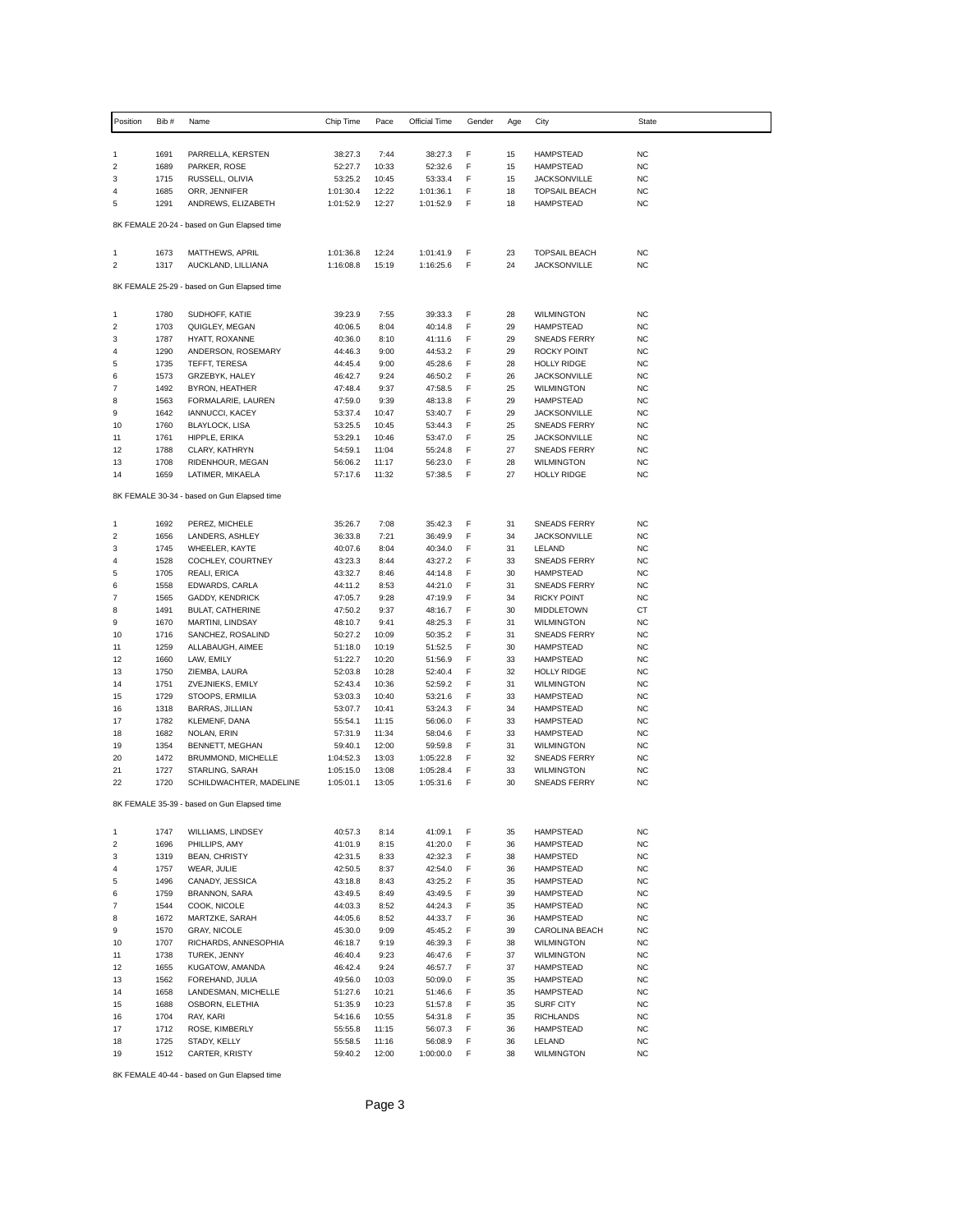| Position                                    | Bib#         | Name                                        | Chip Time            | Pace  | Official Time | Gender | Age | City                 | State                  |  |  |
|---------------------------------------------|--------------|---------------------------------------------|----------------------|-------|---------------|--------|-----|----------------------|------------------------|--|--|
|                                             |              |                                             |                      |       |               |        |     |                      |                        |  |  |
| 1                                           | 1691         | PARRELLA, KERSTEN                           | 38:27.3              | 7:44  | 38:27.3       | F      | 15  | <b>HAMPSTEAD</b>     | NC                     |  |  |
| $\overline{\mathbf{c}}$                     | 1689         | PARKER, ROSE                                | 52:27.7              | 10:33 | 52:32.6       | F      | 15  | <b>HAMPSTEAD</b>     | <b>NC</b>              |  |  |
| 3<br>4                                      | 1715<br>1685 | RUSSELL, OLIVIA                             | 53:25.2<br>1:01:30.4 | 10:45 | 53:33.4       | F<br>F | 15  | <b>JACKSONVILLE</b>  | <b>NC</b><br><b>NC</b> |  |  |
| 5                                           |              | ORR, JENNIFER<br>ANDREWS, ELIZABETH         |                      | 12:22 | 1:01:36.1     | F      | 18  | <b>TOPSAIL BEACH</b> |                        |  |  |
|                                             | 1291         |                                             | 1:01:52.9            | 12:27 | 1:01:52.9     |        | 18  | <b>HAMPSTEAD</b>     | <b>NC</b>              |  |  |
| 8K FEMALE 20-24 - based on Gun Elapsed time |              |                                             |                      |       |               |        |     |                      |                        |  |  |
| 1                                           | 1673         | MATTHEWS, APRIL                             | 1:01:36.8            | 12:24 | 1:01:41.9     | F      | 23  | <b>TOPSAIL BEACH</b> | <b>NC</b>              |  |  |
| 2                                           | 1317         | AUCKLAND, LILLIANA                          | 1:16:08.8            | 15:19 | 1:16:25.6     | F      | 24  | <b>JACKSONVILLE</b>  | <b>NC</b>              |  |  |
|                                             |              | 8K FEMALE 25-29 - based on Gun Elapsed time |                      |       |               |        |     |                      |                        |  |  |
| 1                                           | 1780         | SUDHOFF, KATIE                              | 39:23.9              | 7:55  | 39:33.3       | F      | 28  | <b>WILMINGTON</b>    | <b>NC</b>              |  |  |
| 2                                           | 1703         | QUIGLEY, MEGAN                              | 40:06.5              | 8:04  | 40:14.8       | F      | 29  | <b>HAMPSTEAD</b>     | <b>NC</b>              |  |  |
| 3                                           | 1787         | HYATT, ROXANNE                              | 40:36.0              | 8:10  | 41:11.6       | F      | 29  | <b>SNEADS FERRY</b>  | NC                     |  |  |
| 4                                           | 1290         | ANDERSON, ROSEMARY                          | 44:46.3              | 9:00  | 44:53.2       | F      | 29  | ROCKY POINT          | NC                     |  |  |
| 5                                           | 1735         | TEFFT, TERESA                               | 44:45.4              | 9:00  | 45:28.6       | F      | 28  | <b>HOLLY RIDGE</b>   | <b>NC</b>              |  |  |
| 6                                           | 1573         | GRZEBYK, HALEY                              | 46:42.7              | 9:24  | 46:50.2       | F      | 26  | <b>JACKSONVILLE</b>  | NC                     |  |  |
| 7                                           | 1492         | BYRON, HEATHER                              | 47:48.4              | 9:37  | 47:58.5       | F      | 25  | <b>WILMINGTON</b>    | <b>NC</b>              |  |  |
| 8                                           | 1563         | FORMALARIE, LAUREN                          | 47:59.0              | 9:39  | 48:13.8       | F      | 29  | <b>HAMPSTEAD</b>     | <b>NC</b>              |  |  |
| 9                                           | 1642         | <b>IANNUCCI, KACEY</b>                      | 53:37.4              | 10:47 | 53:40.7       | F      | 29  | <b>JACKSONVILLE</b>  | <b>NC</b>              |  |  |
| 10                                          | 1760         | <b>BLAYLOCK, LISA</b>                       | 53:25.5              | 10:45 | 53:44.3       | F      | 25  | <b>SNEADS FERRY</b>  | NC                     |  |  |
| 11                                          | 1761         | HIPPLE, ERIKA                               | 53:29.1              | 10:46 | 53:47.0       | F      | 25  | <b>JACKSONVILLE</b>  | <b>NC</b>              |  |  |
| 12                                          | 1788         | CLARY, KATHRYN                              | 54:59.1              | 11:04 | 55:24.8       | F      | 27  | SNEADS FERRY         | <b>NC</b>              |  |  |
| 13                                          | 1708         | RIDENHOUR, MEGAN                            | 56:06.2              | 11:17 | 56:23.0       | F      | 28  | <b>WILMINGTON</b>    | NC                     |  |  |
| 14                                          | 1659         | LATIMER, MIKAELA                            | 57:17.6              | 11:32 | 57:38.5       | F      | 27  | <b>HOLLY RIDGE</b>   | <b>NC</b>              |  |  |
|                                             |              | 8K FEMALE 30-34 - based on Gun Elapsed time |                      |       |               |        |     |                      |                        |  |  |
| 1                                           | 1692         | PEREZ, MICHELE                              | 35:26.7              | 7:08  | 35:42.3       | F      | 31  | <b>SNEADS FERRY</b>  | <b>NC</b>              |  |  |
| 2                                           | 1656         | LANDERS, ASHLEY                             | 36:33.8              | 7:21  | 36:49.9       | F      | 34  | <b>JACKSONVILLE</b>  | <b>NC</b>              |  |  |
| 3                                           | 1745         | WHEELER, KAYTE                              | 40:07.6              | 8:04  | 40:34.0       | F      | 31  | LELAND               | <b>NC</b>              |  |  |
| 4                                           | 1528         | COCHLEY, COURTNEY                           | 43:23.3              | 8:44  | 43:27.2       | F      | 33  | SNEADS FERRY         | <b>NC</b>              |  |  |
| 5                                           | 1705         | REALI, ERICA                                | 43:32.7              | 8:46  | 44:14.8       | F      | 30  | <b>HAMPSTEAD</b>     | <b>NC</b>              |  |  |
| 6                                           | 1558         | EDWARDS, CARLA                              | 44:11.2              | 8:53  | 44:21.0       | F      | 31  | <b>SNEADS FERRY</b>  | <b>NC</b>              |  |  |
| 7                                           | 1565         | GADDY, KENDRICK                             | 47:05.7              | 9:28  | 47:19.9       | F      | 34  | <b>RICKY POINT</b>   | <b>NC</b>              |  |  |
| 8                                           | 1491         | <b>BULAT, CATHERINE</b>                     | 47:50.2              | 9:37  | 48:16.7       | F      | 30  | MIDDLETOWN           | СT                     |  |  |
| 9                                           | 1670         | MARTINI, LINDSAY                            | 48:10.7              | 9:41  | 48:25.3       | F      | 31  | <b>WILMINGTON</b>    | <b>NC</b>              |  |  |
| 10                                          | 1716         | SANCHEZ, ROSALIND                           | 50:27.2              | 10:09 | 50:35.2       | F      | 31  | SNEADS FERRY         | <b>NC</b>              |  |  |
| 11                                          | 1259         | ALLABAUGH, AIMEE                            | 51:18.0              | 10:19 | 51:52.5       | F      | 30  | <b>HAMPSTEAD</b>     | NC                     |  |  |
| 12                                          | 1660         | LAW, EMILY                                  | 51:22.7              | 10:20 | 51:56.9       | F      | 33  | <b>HAMPSTEAD</b>     | <b>NC</b>              |  |  |
| 13                                          | 1750         | ZIEMBA, LAURA                               | 52:03.8              | 10:28 | 52:40.4       | F      | 32  | <b>HOLLY RIDGE</b>   | <b>NC</b>              |  |  |
| 14                                          | 1751         | ZVEJNIEKS, EMILY                            | 52:43.4              | 10:36 | 52:59.2       | F      | 31  | <b>WILMINGTON</b>    | NC                     |  |  |
| 15                                          | 1729         | STOOPS, ERMILIA                             | 53:03.3              | 10:40 | 53:21.6       | F      | 33  | <b>HAMPSTEAD</b>     | <b>NC</b>              |  |  |
| 16                                          | 1318         | BARRAS, JILLIAN                             | 53:07.7              | 10:41 | 53:24.3       | F      | 34  | <b>HAMPSTEAD</b>     | <b>NC</b>              |  |  |
| 17                                          | 1782         | KLEMENF, DANA                               | 55:54.1              | 11:15 | 56:06.0       | F      | 33  | <b>HAMPSTEAD</b>     | <b>NC</b>              |  |  |
| 18                                          | 1682         | NOLAN, ERIN                                 | 57:31.9              | 11:34 | 58:04.6       | F      | 33  | <b>HAMPSTEAD</b>     | NC                     |  |  |
| 19                                          | 1354         | BENNETT, MEGHAN                             | 59:40.1              | 12:00 | 59:59.8       | F      | 31  | <b>WILMINGTON</b>    | <b>NC</b>              |  |  |
| 20                                          | 1472         | BRUMMOND, MICHELLE                          | 1:04:52.3            | 13:03 | 1:05:22.8     | F      | 32  | SNEADS FERRY         | <b>NC</b>              |  |  |
| 21                                          | 1727         | STARLING, SARAH                             | 1:05:15.0            | 13:08 | 1:05:28.4     | F      | 33  | <b>WILMINGTON</b>    | NC                     |  |  |
| 22                                          | 1720         | SCHILDWACHTER, MADELINE                     | 1:05:01.1            | 13:05 | 1:05:31.6     | F      | 30  | <b>SNEADS FERRY</b>  | <b>NC</b>              |  |  |
|                                             |              | 8K FEMALE 35-39 - based on Gun Elapsed time |                      |       |               |        |     |                      |                        |  |  |
| 1                                           | 1747         | WILLIAMS, LINDSEY                           | 40:57.3              | 8:14  | 41:09.1       | F      | 35  | <b>HAMPSTEAD</b>     | <b>NC</b>              |  |  |
| 2                                           | 1696         | PHILLIPS, AMY                               | 41:01.9              | 8:15  | 41:20.0       | F      | 36  | <b>HAMPSTEAD</b>     | <b>NC</b>              |  |  |
| 3                                           | 1319         | <b>BEAN, CHRISTY</b>                        | 42:31.5              | 8:33  | 42:32.3       | F      | 38  | HAMPSTED             | <b>NC</b>              |  |  |
| 4                                           | 1757         | WEAR, JULIE                                 | 42:50.5              | 8:37  | 42:54.0       | F      | 36  | <b>HAMPSTEAD</b>     | <b>NC</b>              |  |  |
| 5                                           | 1496         | CANADY, JESSICA                             | 43:18.8              | 8:43  | 43:25.2       | F      | 35  | <b>HAMPSTEAD</b>     | <b>NC</b>              |  |  |
| 6                                           | 1759         | BRANNON, SARA                               | 43:49.5              | 8:49  | 43:49.5       | F      | 39  | <b>HAMPSTEAD</b>     | <b>NC</b>              |  |  |
| 7                                           | 1544         | COOK, NICOLE                                | 44:03.3              | 8:52  | 44:24.3       | F      | 35  | <b>HAMPSTEAD</b>     | <b>NC</b>              |  |  |
| 8                                           | 1672         | MARTZKE, SARAH                              | 44:05.6              | 8:52  | 44:33.7       | F      | 36  | <b>HAMPSTEAD</b>     | <b>NC</b>              |  |  |
| 9                                           | 1570         | <b>GRAY, NICOLE</b>                         | 45:30.0              | 9:09  | 45:45.2       | F      | 39  | CAROLINA BEACH       | <b>NC</b>              |  |  |
| 10                                          | 1707         | RICHARDS, ANNESOPHIA                        | 46:18.7              | 9:19  | 46:39.3       | F      | 38  | <b>WILMINGTON</b>    | <b>NC</b>              |  |  |
| 11                                          | 1738         | TUREK, JENNY                                | 46:40.4              | 9:23  | 46:47.6       | F      | 37  | <b>WILMINGTON</b>    | <b>NC</b>              |  |  |
| 12                                          | 1655         | KUGATOW, AMANDA                             | 46:42.4              | 9:24  | 46:57.7       | F      | 37  | <b>HAMPSTEAD</b>     | NC.                    |  |  |
| 13                                          | 1562         | FOREHAND, JULIA                             | 49:56.0              | 10:03 | 50:09.0       | F      | 35  | <b>HAMPSTEAD</b>     | <b>NC</b>              |  |  |
| 14                                          | 1658         | LANDESMAN, MICHELLE                         | 51:27.6              | 10:21 | 51:46.6       | F      | 35  | <b>HAMPSTEAD</b>     | <b>NC</b>              |  |  |
| 15                                          | 1688         | OSBORN, ELETHIA                             | 51:35.9              | 10:23 | 51:57.8       | F      | 35  | <b>SURF CITY</b>     | <b>NC</b>              |  |  |
| 16                                          | 1704         | RAY, KARI                                   | 54:16.6              | 10:55 | 54:31.8       | F      | 35  | <b>RICHLANDS</b>     | <b>NC</b>              |  |  |
| 17                                          | 1712         | ROSE, KIMBERLY                              | 55:55.8              | 11:15 | 56:07.3       | F      | 36  | <b>HAMPSTEAD</b>     | <b>NC</b>              |  |  |
| 18                                          | 1725         | STADY, KELLY                                | 55:58.5              | 11:16 | 56:08.9       | F      | 36  | LELAND               | <b>NC</b>              |  |  |
| 19                                          | 1512         | CARTER, KRISTY                              | 59:40.2              | 12:00 | 1:00:00.0     | F      | 38  | <b>WILMINGTON</b>    | <b>NC</b>              |  |  |
|                                             |              |                                             |                      |       |               |        |     |                      |                        |  |  |

8K FEMALE 40-44 - based on Gun Elapsed time